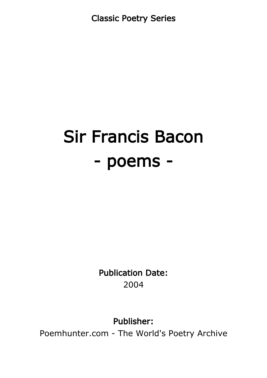Classic Poetry Series

# Sir Francis Bacon - poems -

Publication Date: 2004

Publisher:

Poemhunter.com - The World's Poetry Archive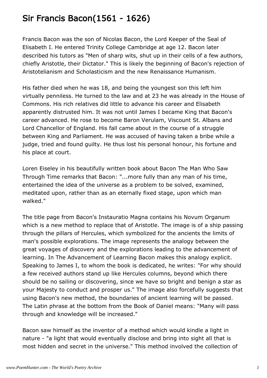# Sir Francis Bacon(1561 - 1626)

Francis Bacon was the son of Nicolas Bacon, the Lord Keeper of the Seal of Elisabeth I. He entered Trinity College Cambridge at age 12. Bacon later described his tutors as "Men of sharp wits, shut up in their cells of a few authors, chiefly Aristotle, their Dictator." This is likely the beginning of Bacon's rejection of Aristotelianism and Scholasticism and the new Renaissance Humanism.

His father died when he was 18, and being the youngest son this left him virtually penniless. He turned to the law and at 23 he was already in the House of Commons. His rich relatives did little to advance his career and Elisabeth apparently distrusted him. It was not until James I became King that Bacon's career advanced. He rose to become Baron Verulam, Viscount St. Albans and Lord Chancellor of England. His fall came about in the course of a struggle between King and Parliament. He was accused of having taken a bribe while a judge, tried and found guilty. He thus lost his personal honour, his fortune and his place at court.

Loren Eiseley in his beautifully written book about Bacon The Man Who Saw Through Time remarks that Bacon: "...more fully than any man of his time, entertained the idea of the universe as a problem to be solved, examined, meditated upon, rather than as an eternally fixed stage, upon which man walked."

The title page from Bacon's Instauratio Magna contains his Novum Organum which is a new method to replace that of Aristotle. The image is of a ship passing through the pillars of Hercules, which symbolized for the ancients the limits of man's possible explorations. The image represents the analogy between the great voyages of discovery and the explorations leading to the advancement of learning. In The Advancement of Learning Bacon makes this analogy explicit. Speaking to James I, to whom the book is dedicated, he writes: "For why should a few received authors stand up like Hercules columns, beyond which there should be no sailing or discovering, since we have so bright and benign a star as your Majesty to conduct and prosper us." The image also forcefully suggests that using Bacon's new method, the boundaries of ancient learning will be passed. The Latin phrase at the bottom from the Book of Daniel means: "Many will pass through and knowledge will be increased."

Bacon saw himself as the inventor of a method which would kindle a light in nature - "a light that would eventually disclose and bring into sight all that is most hidden and secret in the universe." This method involved the collection of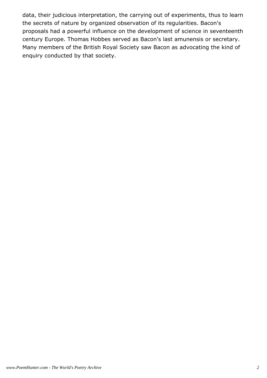data, their judicious interpretation, the carrying out of experiments, thus to learn the secrets of nature by organized observation of its regularities. Bacon's proposals had a powerful influence on the development of science in seventeenth century Europe. Thomas Hobbes served as Bacon's last amunensis or secretary. Many members of the British Royal Society saw Bacon as advocating the kind of enquiry conducted by that society.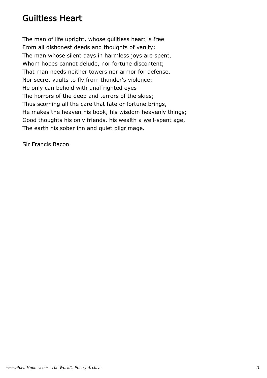# Guiltless Heart

The man of life upright, whose guiltless heart is free From all dishonest deeds and thoughts of vanity: The man whose silent days in harmless joys are spent, Whom hopes cannot delude, nor fortune discontent; That man needs neither towers nor armor for defense, Nor secret vaults to fly from thunder's violence: He only can behold with unaffrighted eyes The horrors of the deep and terrors of the skies; Thus scorning all the care that fate or fortune brings, He makes the heaven his book, his wisdom heavenly things; Good thoughts his only friends, his wealth a well-spent age, The earth his sober inn and quiet pilgrimage.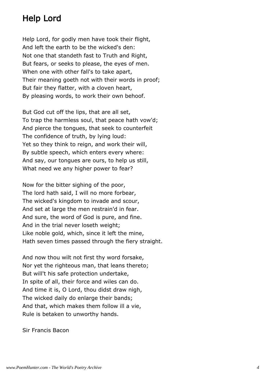# Help Lord

Help Lord, for godly men have took their flight, And left the earth to be the wicked's den: Not one that standeth fast to Truth and Right, But fears, or seeks to please, the eyes of men. When one with other fall's to take apart, Their meaning goeth not with their words in proof; But fair they flatter, with a cloven heart, By pleasing words, to work their own behoof.

But God cut off the lips, that are all set, To trap the harmless soul, that peace hath vow'd; And pierce the tongues, that seek to counterfeit The confidence of truth, by lying loud: Yet so they think to reign, and work their will, By subtle speech, which enters every where: And say, our tongues are ours, to help us still, What need we any higher power to fear?

Now for the bitter sighing of the poor, The lord hath said, I will no more forbear, The wicked's kingdom to invade and scour, And set at large the men restrain'd in fear. And sure, the word of God is pure, and fine. And in the trial never loseth weight; Like noble gold, which, since it left the mine, Hath seven times passed through the fiery straight.

And now thou wilt not first thy word forsake, Nor yet the righteous man, that leans thereto; But will't his safe protection undertake, In spite of all, their force and wiles can do. And time it is, O Lord, thou didst draw nigh, The wicked daily do enlarge their bands; And that, which makes them follow ill a vie, Rule is betaken to unworthy hands.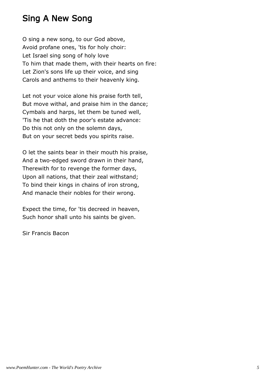# Sing A New Song

O sing a new song, to our God above, Avoid profane ones, 'tis for holy choir: Let Israel sing song of holy love To him that made them, with their hearts on fire: Let Zion's sons life up their voice, and sing Carols and anthems to their heavenly king.

Let not your voice alone his praise forth tell, But move withal, and praise him in the dance; Cymbals and harps, let them be tuned well, 'Tis he that doth the poor's estate advance: Do this not only on the solemn days, But on your secret beds you spirits raise.

O let the saints bear in their mouth his praise, And a two-edged sword drawn in their hand, Therewith for to revenge the former days, Upon all nations, that their zeal withstand; To bind their kings in chains of iron strong, And manacle their nobles for their wrong.

Expect the time, for 'tis decreed in heaven, Such honor shall unto his saints be given.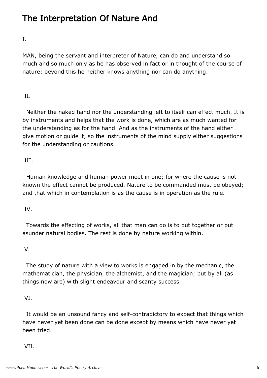# The Interpretation Of Nature And

# I.

MAN, being the servant and interpreter of Nature, can do and understand so much and so much only as he has observed in fact or in thought of the course of nature: beyond this he neither knows anything nor can do anything.

# II.

 Neither the naked hand nor the understanding left to itself can effect much. It is by instruments and helps that the work is done, which are as much wanted for the understanding as for the hand. And as the instruments of the hand either give motion or guide it, so the instruments of the mind supply either suggestions for the understanding or cautions.

# III.

 Human knowledge and human power meet in one; for where the cause is not known the effect cannot be produced. Nature to be commanded must be obeyed; and that which in contemplation is as the cause is in operation as the rule.

## IV.

 Towards the effecting of works, all that man can do is to put together or put asunder natural bodies. The rest is done by nature working within.

## V.

 The study of nature with a view to works is engaged in by the mechanic, the mathematician, the physician, the alchemist, and the magician; but by all (as things now are) with slight endeavour and scanty success.

## VI.

 It would be an unsound fancy and self-contradictory to expect that things which have never yet been done can be done except by means which have never yet been tried.

VII.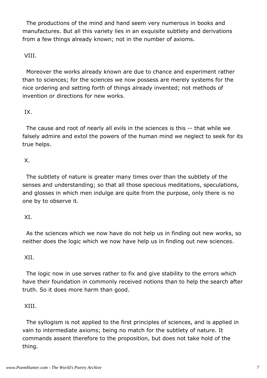The productions of the mind and hand seem very numerous in books and manufactures. But all this variety lies in an exquisite subtlety and derivations from a few things already known; not in the number of axioms.

# VIII.

 Moreover the works already known are due to chance and experiment rather than to sciences; for the sciences we now possess are merely systems for the nice ordering and setting forth of things already invented; not methods of invention or directions for new works.

# IX.

 The cause and root of nearly all evils in the sciences is this -- that while we falsely admire and extol the powers of the human mind we neglect to seek for its true helps.

# X.

 The subtlety of nature is greater many times over than the subtlety of the senses and understanding; so that all those specious meditations, speculations, and glosses in which men indulge are quite from the purpose, only there is no one by to observe it.

## XI.

 As the sciences which we now have do not help us in finding out new works, so neither does the logic which we now have help us in finding out new sciences.

## XII.

 The logic now in use serves rather to fix and give stability to the errors which have their foundation in commonly received notions than to help the search after truth. So it does more harm than good.

## XIII.

 The syllogism is not applied to the first principles of sciences, and is applied in vain to intermediate axioms; being no match for the subtlety of nature. It commands assent therefore to the proposition, but does not take hold of the thing.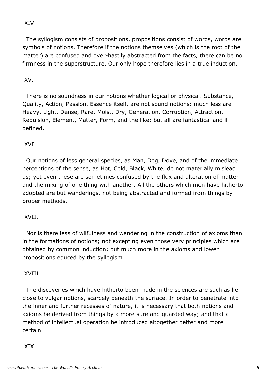XIV.

 The syllogism consists of propositions, propositions consist of words, words are symbols of notions. Therefore if the notions themselves (which is the root of the matter) are confused and over-hastily abstracted from the facts, there can be no firmness in the superstructure. Our only hope therefore lies in a true induction.

# XV.

 There is no soundness in our notions whether logical or physical. Substance, Quality, Action, Passion, Essence itself, are not sound notions: much less are Heavy, Light, Dense, Rare, Moist, Dry, Generation, Corruption, Attraction, Repulsion, Element, Matter, Form, and the like; but all are fantastical and ill defined.

# XVI.

 Our notions of less general species, as Man, Dog, Dove, and of the immediate perceptions of the sense, as Hot, Cold, Black, White, do not materially mislead us; yet even these are sometimes confused by the flux and alteration of matter and the mixing of one thing with another. All the others which men have hitherto adopted are but wanderings, not being abstracted and formed from things by proper methods.

## XVII.

 Nor is there less of wilfulness and wandering in the construction of axioms than in the formations of notions; not excepting even those very principles which are obtained by common induction; but much more in the axioms and lower propositions educed by the syllogism.

## XVIII.

 The discoveries which have hitherto been made in the sciences are such as lie close to vulgar notions, scarcely beneath the surface. In order to penetrate into the inner and further recesses of nature, it is necessary that both notions and axioms be derived from things by a more sure and guarded way; and that a method of intellectual operation be introduced altogether better and more certain.

XIX.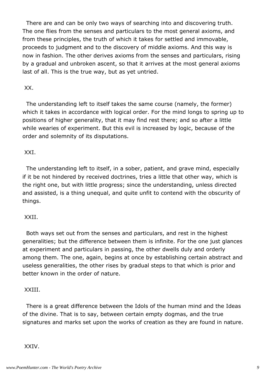There are and can be only two ways of searching into and discovering truth. The one flies from the senses and particulars to the most general axioms, and from these principles, the truth of which it takes for settled and immovable, proceeds to judgment and to the discovery of middle axioms. And this way is now in fashion. The other derives axioms from the senses and particulars, rising by a gradual and unbroken ascent, so that it arrives at the most general axioms last of all. This is the true way, but as yet untried.

## XX.

 The understanding left to itself takes the same course (namely, the former) which it takes in accordance with logical order. For the mind longs to spring up to positions of higher generality, that it may find rest there; and so after a little while wearies of experiment. But this evil is increased by logic, because of the order and solemnity of its disputations.

## XXI.

 The understanding left to itself, in a sober, patient, and grave mind, especially if it be not hindered by received doctrines, tries a little that other way, which is the right one, but with little progress; since the understanding, unless directed and assisted, is a thing unequal, and quite unfit to contend with the obscurity of things.

## XXII.

 Both ways set out from the senses and particulars, and rest in the highest generalities; but the difference between them is infinite. For the one just glances at experiment and particulars in passing, the other dwells duly and orderly among them. The one, again, begins at once by establishing certain abstract and useless generalities, the other rises by gradual steps to that which is prior and better known in the order of nature.

#### XXIII.

 There is a great difference between the Idols of the human mind and the Ideas of the divine. That is to say, between certain empty dogmas, and the true signatures and marks set upon the works of creation as they are found in nature.

#### XXIV.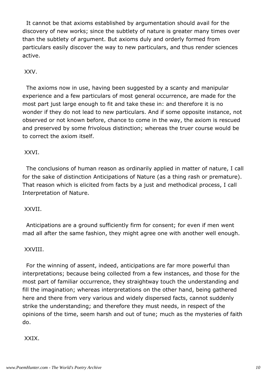It cannot be that axioms established by argumentation should avail for the discovery of new works; since the subtlety of nature is greater many times over than the subtlety of argument. But axioms duly and orderly formed from particulars easily discover the way to new particulars, and thus render sciences active.

# XXV.

 The axioms now in use, having been suggested by a scanty and manipular experience and a few particulars of most general occurrence, are made for the most part just large enough to fit and take these in: and therefore it is no wonder if they do not lead to new particulars. And if some opposite instance, not observed or not known before, chance to come in the way, the axiom is rescued and preserved by some frivolous distinction; whereas the truer course would be to correct the axiom itself.

#### XXVI.

 The conclusions of human reason as ordinarily applied in matter of nature, I call for the sake of distinction Anticipations of Nature (as a thing rash or premature). That reason which is elicited from facts by a just and methodical process, I call Interpretation of Nature.

#### XXVII.

 Anticipations are a ground sufficiently firm for consent; for even if men went mad all after the same fashion, they might agree one with another well enough.

#### XXVIII.

 For the winning of assent, indeed, anticipations are far more powerful than interpretations; because being collected from a few instances, and those for the most part of familiar occurrence, they straightway touch the understanding and fill the imagination; whereas interpretations on the other hand, being gathered here and there from very various and widely dispersed facts, cannot suddenly strike the understanding; and therefore they must needs, in respect of the opinions of the time, seem harsh and out of tune; much as the mysteries of faith do.

#### XXIX.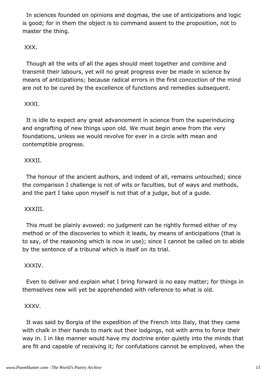In sciences founded on opinions and dogmas, the use of anticipations and logic is good; for in them the object is to command assent to the proposition, not to master the thing.

# XXX.

 Though all the wits of all the ages should meet together and combine and transmit their labours, yet will no great progress ever be made in science by means of anticipations; because radical errors in the first concoction of the mind are not to be cured by the excellence of functions and remedies subsequent.

# XXXI.

 It is idle to expect any great advancement in science from the superinducing and engrafting of new things upon old. We must begin anew from the very foundations, unless we would revolve for ever in a circle with mean and contemptible progress.

# XXXII.

 The honour of the ancient authors, and indeed of all, remains untouched; since the comparison I challenge is not of wits or faculties, but of ways and methods, and the part I take upon myself is not that of a judge, but of a guide.

# XXXIII.

 This must be plainly avowed: no judgment can be rightly formed either of my method or of the discoveries to which it leads, by means of anticipations (that is to say, of the reasoning which is now in use); since I cannot be called on to abide by the sentence of a tribunal which is itself on its trial.

## XXXIV.

 Even to deliver and explain what I bring forward is no easy matter; for things in themselves new will yet be apprehended with reference to what is old.

## XXXV.

 It was said by Borgia of the expedition of the French into Italy, that they came with chalk in their hands to mark out their lodgings, not with arms to force their way in. I in like manner would have my doctrine enter quietly into the minds that are fit and capable of receiving it; for confutations cannot be employed, when the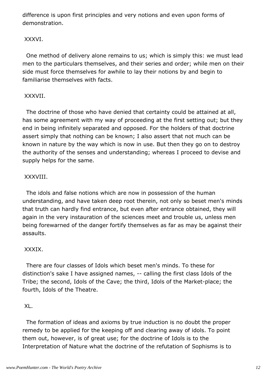difference is upon first principles and very notions and even upon forms of demonstration.

# XXXVI.

 One method of delivery alone remains to us; which is simply this: we must lead men to the particulars themselves, and their series and order; while men on their side must force themselves for awhile to lay their notions by and begin to familiarise themselves with facts.

# XXXVII.

 The doctrine of those who have denied that certainty could be attained at all, has some agreement with my way of proceeding at the first setting out; but they end in being infinitely separated and opposed. For the holders of that doctrine assert simply that nothing can be known; I also assert that not much can be known in nature by the way which is now in use. But then they go on to destroy the authority of the senses and understanding; whereas I proceed to devise and supply helps for the same.

# XXXVIII.

 The idols and false notions which are now in possession of the human understanding, and have taken deep root therein, not only so beset men's minds that truth can hardly find entrance, but even after entrance obtained, they will again in the very instauration of the sciences meet and trouble us, unless men being forewarned of the danger fortify themselves as far as may be against their assaults.

## XXXIX.

 There are four classes of Idols which beset men's minds. To these for distinction's sake I have assigned names, -- calling the first class Idols of the Tribe; the second, Idols of the Cave; the third, Idols of the Market-place; the fourth, Idols of the Theatre.

# XL.

 The formation of ideas and axioms by true induction is no doubt the proper remedy to be applied for the keeping off and clearing away of idols. To point them out, however, is of great use; for the doctrine of Idols is to the Interpretation of Nature what the doctrine of the refutation of Sophisms is to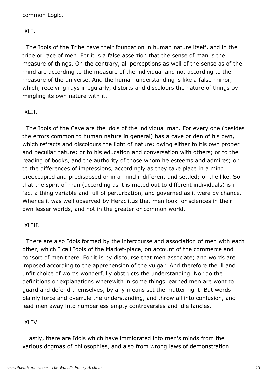common Logic.

## XLI.

 The Idols of the Tribe have their foundation in human nature itself, and in the tribe or race of men. For it is a false assertion that the sense of man is the measure of things. On the contrary, all perceptions as well of the sense as of the mind are according to the measure of the individual and not according to the measure of the universe. And the human understanding is like a false mirror, which, receiving rays irregularly, distorts and discolours the nature of things by mingling its own nature with it.

## XLII.

 The Idols of the Cave are the idols of the individual man. For every one (besides the errors common to human nature in general) has a cave or den of his own, which refracts and discolours the light of nature; owing either to his own proper and peculiar nature; or to his education and conversation with others; or to the reading of books, and the authority of those whom he esteems and admires; or to the differences of impressions, accordingly as they take place in a mind preoccupied and predisposed or in a mind indifferent and settled; or the like. So that the spirit of man (according as it is meted out to different individuals) is in fact a thing variable and full of perturbation, and governed as it were by chance. Whence it was well observed by Heraclitus that men look for sciences in their own lesser worlds, and not in the greater or common world.

## XLIII.

 There are also Idols formed by the intercourse and association of men with each other, which I call Idols of the Market-place, on account of the commerce and consort of men there. For it is by discourse that men associate; and words are imposed according to the apprehension of the vulgar. And therefore the ill and unfit choice of words wonderfully obstructs the understanding. Nor do the definitions or explanations wherewith in some things learned men are wont to guard and defend themselves, by any means set the matter right. But words plainly force and overrule the understanding, and throw all into confusion, and lead men away into numberless empty controversies and idle fancies.

## XLIV.

 Lastly, there are Idols which have immigrated into men's minds from the various dogmas of philosophies, and also from wrong laws of demonstration.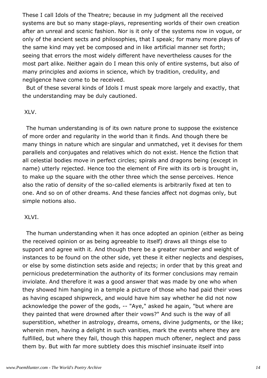These I call Idols of the Theatre; because in my judgment all the received systems are but so many stage-plays, representing worlds of their own creation after an unreal and scenic fashion. Nor is it only of the systems now in vogue, or only of the ancient sects and philosophies, that I speak; for many more plays of the same kind may yet be composed and in like artificial manner set forth; seeing that errors the most widely different have nevertheless causes for the most part alike. Neither again do I mean this only of entire systems, but also of many principles and axioms in science, which by tradition, credulity, and negligence have come to be received.

 But of these several kinds of Idols I must speak more largely and exactly, that the understanding may be duly cautioned.

#### XLV.

 The human understanding is of its own nature prone to suppose the existence of more order and regularity in the world than it finds. And though there be many things in nature which are singular and unmatched, yet it devises for them parallels and conjugates and relatives which do not exist. Hence the fiction that all celestial bodies move in perfect circles; spirals and dragons being (except in name) utterly rejected. Hence too the element of Fire with its orb is brought in, to make up the square with the other three which the sense perceives. Hence also the ratio of density of the so-called elements is arbitrarily fixed at ten to one. And so on of other dreams. And these fancies affect not dogmas only, but simple notions also.

#### XLVI.

 The human understanding when it has once adopted an opinion (either as being the received opinion or as being agreeable to itself) draws all things else to support and agree with it. And though there be a greater number and weight of instances to be found on the other side, yet these it either neglects and despises, or else by some distinction sets aside and rejects; in order that by this great and pernicious predetermination the authority of its former conclusions may remain inviolate. And therefore it was a good answer that was made by one who when they showed him hanging in a temple a picture of those who had paid their vows as having escaped shipwreck, and would have him say whether he did not now acknowledge the power of the gods, -- "Aye," asked he again, "but where are they painted that were drowned after their vows?" And such is the way of all superstition, whether in astrology, dreams, omens, divine judgments, or the like; wherein men, having a delight in such vanities, mark the events where they are fulfilled, but where they fail, though this happen much oftener, neglect and pass them by. But with far more subtlety does this mischief insinuate itself into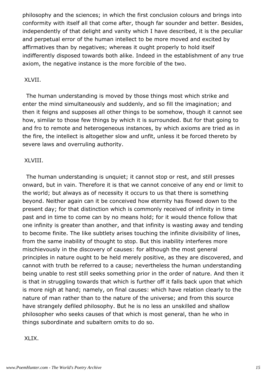philosophy and the sciences; in which the first conclusion colours and brings into conformity with itself all that come after, though far sounder and better. Besides, independently of that delight and vanity which I have described, it is the peculiar and perpetual error of the human intellect to be more moved and excited by affirmatives than by negatives; whereas it ought properly to hold itself indifferently disposed towards both alike. Indeed in the establishment of any true axiom, the negative instance is the more forcible of the two.

#### XLVII.

 The human understanding is moved by those things most which strike and enter the mind simultaneously and suddenly, and so fill the imagination; and then it feigns and supposes all other things to be somehow, though it cannot see how, similar to those few things by which it is surrounded. But for that going to and fro to remote and heterogeneous instances, by which axioms are tried as in the fire, the intellect is altogether slow and unfit, unless it be forced thereto by severe laws and overruling authority.

## XLVIII.

 The human understanding is unquiet; it cannot stop or rest, and still presses onward, but in vain. Therefore it is that we cannot conceive of any end or limit to the world; but always as of necessity it occurs to us that there is something beyond. Neither again can it be conceived how eternity has flowed down to the present day; for that distinction which is commonly received of infinity in time past and in time to come can by no means hold; for it would thence follow that one infinity is greater than another, and that infinity is wasting away and tending to become finite. The like subtlety arises touching the infinite divisibility of lines, from the same inability of thought to stop. But this inability interferes more mischievously in the discovery of causes: for although the most general principles in nature ought to be held merely positive, as they are discovered, and cannot with truth be referred to a cause; nevertheless the human understanding being unable to rest still seeks something prior in the order of nature. And then it is that in struggling towards that which is further off it falls back upon that which is more nigh at hand; namely, on final causes: which have relation clearly to the nature of man rather than to the nature of the universe; and from this source have strangely defiled philosophy. But he is no less an unskilled and shallow philosopher who seeks causes of that which is most general, than he who in things subordinate and subaltern omits to do so.

XLIX.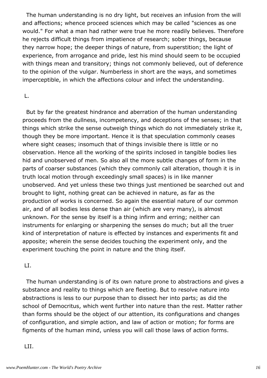The human understanding is no dry light, but receives an infusion from the will and affections; whence proceed sciences which may be called "sciences as one would." For what a man had rather were true he more readily believes. Therefore he rejects difficult things from impatience of research; sober things, because they narrow hope; the deeper things of nature, from superstition; the light of experience, from arrogance and pride, lest his mind should seem to be occupied with things mean and transitory; things not commonly believed, out of deference to the opinion of the vulgar. Numberless in short are the ways, and sometimes imperceptible, in which the affections colour and infect the understanding.

#### L.

 But by far the greatest hindrance and aberration of the human understanding proceeds from the dullness, incompetency, and deceptions of the senses; in that things which strike the sense outweigh things which do not immediately strike it, though they be more important. Hence it is that speculation commonly ceases where sight ceases; insomuch that of things invisible there is little or no observation. Hence all the working of the spirits inclosed in tangible bodies lies hid and unobserved of men. So also all the more subtle changes of form in the parts of coarser substances (which they commonly call alteration, though it is in truth local motion through exceedingly small spaces) is in like manner unobserved. And yet unless these two things just mentioned be searched out and brought to light, nothing great can be achieved in nature, as far as the production of works is concerned. So again the essential nature of our common air, and of all bodies less dense than air (which are very many), is almost unknown. For the sense by itself is a thing infirm and erring; neither can instruments for enlarging or sharpening the senses do much; but all the truer kind of interpretation of nature is effected by instances and experiments fit and apposite; wherein the sense decides touching the experiment only, and the experiment touching the point in nature and the thing itself.

#### LI.

 The human understanding is of its own nature prone to abstractions and gives a substance and reality to things which are fleeting. But to resolve nature into abstractions is less to our purpose than to dissect her into parts; as did the school of Democritus, which went further into nature than the rest. Matter rather than forms should be the object of our attention, its configurations and changes of configuration, and simple action, and law of action or motion; for forms are figments of the human mind, unless you will call those laws of action forms.

LII.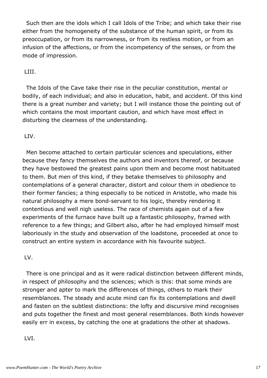Such then are the idols which I call Idols of the Tribe; and which take their rise either from the homogeneity of the substance of the human spirit, or from its preoccupation, or from its narrowness, or from its restless motion, or from an infusion of the affections, or from the incompetency of the senses, or from the mode of impression.

#### LIII.

 The Idols of the Cave take their rise in the peculiar constitution, mental or bodily, of each individual; and also in education, habit, and accident. Of this kind there is a great number and variety; but I will instance those the pointing out of which contains the most important caution, and which have most effect in disturbing the clearness of the understanding.

#### LIV.

 Men become attached to certain particular sciences and speculations, either because they fancy themselves the authors and inventors thereof, or because they have bestowed the greatest pains upon them and become most habituated to them. But men of this kind, if they betake themselves to philosophy and contemplations of a general character, distort and colour them in obedience to their former fancies; a thing especially to be noticed in Aristotle, who made his natural philosophy a mere bond-servant to his logic, thereby rendering it contentious and well nigh useless. The race of chemists again out of a few experiments of the furnace have built up a fantastic philosophy, framed with reference to a few things; and Gilbert also, after he had employed himself most laboriously in the study and observation of the loadstone, proceeded at once to construct an entire system in accordance with his favourite subject.

#### LV.

 There is one principal and as it were radical distinction between different minds, in respect of philosophy and the sciences; which is this: that some minds are stronger and apter to mark the differences of things, others to mark their resemblances. The steady and acute mind can fix its contemplations and dwell and fasten on the subtlest distinctions: the lofty and discursive mind recognises and puts together the finest and most general resemblances. Both kinds however easily err in excess, by catching the one at gradations the other at shadows.

#### LVI.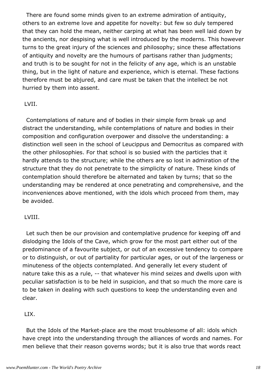There are found some minds given to an extreme admiration of antiquity, others to an extreme love and appetite for novelty: but few so duly tempered that they can hold the mean, neither carping at what has been well laid down by the ancients, nor despising what is well introduced by the moderns. This however turns to the great injury of the sciences and philosophy; since these affectations of antiquity and novelty are the humours of partisans rather than judgments; and truth is to be sought for not in the felicity of any age, which is an unstable thing, but in the light of nature and experience, which is eternal. These factions therefore must be abjured, and care must be taken that the intellect be not hurried by them into assent.

#### LVII.

 Contemplations of nature and of bodies in their simple form break up and distract the understanding, while contemplations of nature and bodies in their composition and configuration overpower and dissolve the understanding: a distinction well seen in the school of Leucippus and Democritus as compared with the other philosophies. For that school is so busied with the particles that it hardly attends to the structure; while the others are so lost in admiration of the structure that they do not penetrate to the simplicity of nature. These kinds of contemplation should therefore be alternated and taken by turns; that so the understanding may be rendered at once penetrating and comprehensive, and the inconveniences above mentioned, with the idols which proceed from them, may be avoided.

#### LVIII.

 Let such then be our provision and contemplative prudence for keeping off and dislodging the Idols of the Cave, which grow for the most part either out of the predominance of a favourite subject, or out of an excessive tendency to compare or to distinguish, or out of partiality for particular ages, or out of the largeness or minuteness of the objects contemplated. And generally let every student of nature take this as a rule, -- that whatever his mind seizes and dwells upon with peculiar satisfaction is to be held in suspicion, and that so much the more care is to be taken in dealing with such questions to keep the understanding even and clear.

#### LIX.

 But the Idols of the Market-place are the most troublesome of all: idols which have crept into the understanding through the alliances of words and names. For men believe that their reason governs words; but it is also true that words react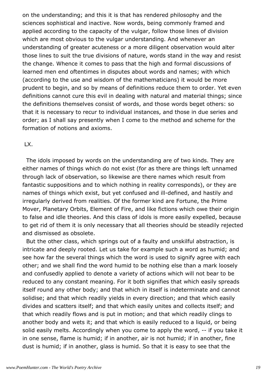on the understanding; and this it is that has rendered philosophy and the sciences sophistical and inactive. Now words, being commonly framed and applied according to the capacity of the vulgar, follow those lines of division which are most obvious to the vulgar understanding. And whenever an understanding of greater acuteness or a more diligent observation would alter those lines to suit the true divisions of nature, words stand in the way and resist the change. Whence it comes to pass that the high and formal discussions of learned men end oftentimes in disputes about words and names; with which (according to the use and wisdom of the mathematicians) it would be more prudent to begin, and so by means of definitions reduce them to order. Yet even definitions cannot cure this evil in dealing with natural and material things; since the definitions themselves consist of words, and those words beget others: so that it is necessary to recur to individual instances, and those in due series and order; as I shall say presently when I come to the method and scheme for the formation of notions and axioms.

LX.

 The idols imposed by words on the understanding are of two kinds. They are either names of things which do not exist (for as there are things left unnamed through lack of observation, so likewise are there names which result from fantastic suppositions and to which nothing in reality corresponds), or they are names of things which exist, but yet confused and ill-defined, and hastily and irregularly derived from realities. Of the former kind are Fortune, the Prime Mover, Planetary Orbits, Element of Fire, and like fictions which owe their origin to false and idle theories. And this class of idols is more easily expelled, because to get rid of them it is only necessary that all theories should be steadily rejected and dismissed as obsolete.

 But the other class, which springs out of a faulty and unskilful abstraction, is intricate and deeply rooted. Let us take for example such a word as humid; and see how far the several things which the word is used to signify agree with each other; and we shall find the word humid to be nothing else than a mark loosely and confusedly applied to denote a variety of actions which will not bear to be reduced to any constant meaning. For it both signifies that which easily spreads itself round any other body; and that which in itself is indeterminate and cannot solidise; and that which readily yields in every direction; and that which easily divides and scatters itself; and that which easily unites and collects itself; and that which readily flows and is put in motion; and that which readily clings to another body and wets it; and that which is easily reduced to a liquid, or being solid easily melts. Accordingly when you come to apply the word, -- if you take it in one sense, flame is humid; if in another, air is not humid; if in another, fine dust is humid; if in another, glass is humid. So that it is easy to see that the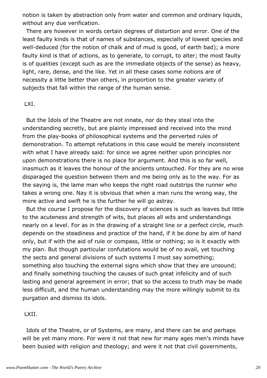notion is taken by abstraction only from water and common and ordinary liquids, without any due verification.

 There are however in words certain degrees of distortion and error. One of the least faulty kinds is that of names of substances, especially of lowest species and well-deduced (for the notion of chalk and of mud is good, of earth bad); a more faulty kind is that of actions, as to generate, to corrupt, to alter; the most faulty is of qualities (except such as are the immediate objects of the sense) as heavy, light, rare, dense, and the like. Yet in all these cases some notions are of necessity a little better than others, in proportion to the greater variety of subjects that fall within the range of the human sense.

#### LXI.

 But the Idols of the Theatre are not innate, nor do they steal into the understanding secretly, but are plainly impressed and received into the mind from the play-books of philosophical systems and the perverted rules of demonstration. To attempt refutations in this case would be merely inconsistent with what I have already said: for since we agree neither upon principles nor upon demonstrations there is no place for argument. And this is so far well, inasmuch as it leaves the honour of the ancients untouched. For they are no wise disparaged the question between them and me being only as to the way. For as the saying is, the lame man who keeps the right road outstrips the runner who takes a wrong one. Nay it is obvious that when a man runs the wrong way, the more active and swift he is the further he will go astray.

 But the course I propose for the discovery of sciences is such as leaves but little to the acuteness and strength of wits, but places all wits and understandings nearly on a level. For as in the drawing of a straight line or a perfect circle, much depends on the steadiness and practice of the hand, if it be done by aim of hand only, but if with the aid of rule or compass, little or nothing; so is it exactly with my plan. But though particular confutations would be of no avail, yet touching the sects and general divisions of such systems I must say something; something also touching the external signs which show that they are unsound; and finally something touching the causes of such great infelicity and of such lasting and general agreement in error; that so the access to truth may be made less difficult, and the human understanding may the more willingly submit to its purgation and dismiss its idols.

#### LXII.

 Idols of the Theatre, or of Systems, are many, and there can be and perhaps will be yet many more. For were it not that new for many ages men's minds have been busied with religion and theology; and were it not that civil governments,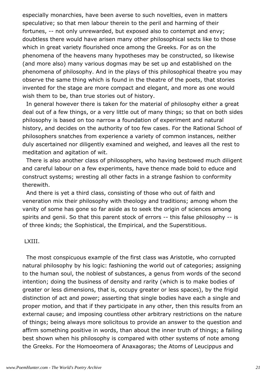especially monarchies, have been averse to such novelties, even in matters speculative; so that men labour therein to the peril and harming of their fortunes, -- not only unrewarded, but exposed also to contempt and envy; doubtless there would have arisen many other philosophical sects like to those which in great variety flourished once among the Greeks. For as on the phenomena of the heavens many hypotheses may be constructed, so likewise (and more also) many various dogmas may be set up and established on the phenomena of philosophy. And in the plays of this philosophical theatre you may observe the same thing which is found in the theatre of the poets, that stories invented for the stage are more compact and elegant, and more as one would wish them to be, than true stories out of history.

 In general however there is taken for the material of philosophy either a great deal out of a few things, or a very little out of many things; so that on both sides philosophy is based on too narrow a foundation of experiment and natural history, and decides on the authority of too few cases. For the Rational School of philosophers snatches from experience a variety of common instances, neither duly ascertained nor diligently examined and weighed, and leaves all the rest to meditation and agitation of wit.

 There is also another class of philosophers, who having bestowed much diligent and careful labour on a few experiments, have thence made bold to educe and construct systems; wresting all other facts in a strange fashion to conformity therewith.

 And there is yet a third class, consisting of those who out of faith and veneration mix their philosophy with theology and traditions; among whom the vanity of some has gone so far aside as to seek the origin of sciences among spirits and genii. So that this parent stock of errors -- this false philosophy -- is of three kinds; the Sophistical, the Empirical, and the Superstitious.

#### LXIII.

 The most conspicuous example of the first class was Aristotle, who corrupted natural philosophy by his logic: fashioning the world out of categories; assigning to the human soul, the noblest of substances, a genus from words of the second intention; doing the business of density and rarity (which is to make bodies of greater or less dimensions, that is, occupy greater or less spaces), by the frigid distinction of act and power; asserting that single bodies have each a single and proper motion, and that if they participate in any other, then this results from an external cause; and imposing countless other arbitrary restrictions on the nature of things; being always more solicitous to provide an answer to the question and affirm something positive in words, than about the inner truth of things; a failing best shown when his philosophy is compared with other systems of note among the Greeks. For the Homoeomera of Anaxagoras; the Atoms of Leucippus and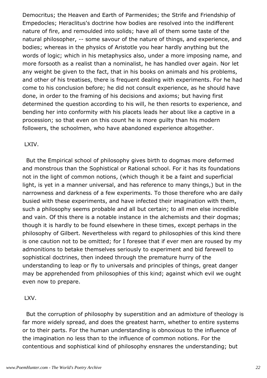Democritus; the Heaven and Earth of Parmenides; the Strife and Friendship of Empedocles; Heraclitus's doctrine how bodies are resolved into the indifferent nature of fire, and remoulded into solids; have all of them some taste of the natural philosopher, -- some savour of the nature of things, and experience, and bodies; whereas in the physics of Aristotle you hear hardly anything but the words of logic; which in his metaphysics also, under a more imposing name, and more forsooth as a realist than a nominalist, he has handled over again. Nor let any weight be given to the fact, that in his books on animals and his problems, and other of his treatises, there is frequent dealing with experiments. For he had come to his conclusion before; he did not consult experience, as he should have done, in order to the framing of his decisions and axioms; but having first determined the question according to his will, he then resorts to experience, and bending her into conformity with his placets leads her about like a captive in a procession; so that even on this count he is more guilty than his modern followers, the schoolmen, who have abandoned experience altogether.

#### LXIV.

 But the Empirical school of philosophy gives birth to dogmas more deformed and monstrous than the Sophistical or Rational school. For it has its foundations not in the light of common notions, (which though it be a faint and superficial light, is yet in a manner universal, and has reference to many things,) but in the narrowness and darkness of a few experiments. To those therefore who are daily busied with these experiments, and have infected their imagination with them, such a philosophy seems probable and all but certain; to all men else incredible and vain. Of this there is a notable instance in the alchemists and their dogmas; though it is hardly to be found elsewhere in these times, except perhaps in the philosophy of Gilbert. Nevertheless with regard to philosophies of this kind there is one caution not to be omitted; for I foresee that if ever men are roused by my admonitions to betake themselves seriously to experiment and bid farewell to sophistical doctrines, then indeed through the premature hurry of the understanding to leap or fly to universals and principles of things, great danger may be apprehended from philosophies of this kind; against which evil we ought even now to prepare.

#### LXV.

 But the corruption of philosophy by superstition and an admixture of theology is far more widely spread, and does the greatest harm, whether to entire systems or to their parts. For the human understanding is obnoxious to the influence of the imagination no less than to the influence of common notions. For the contentious and sophistical kind of philosophy ensnares the understanding; but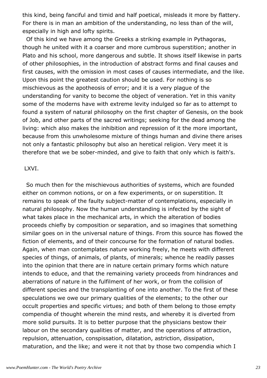this kind, being fanciful and timid and half poetical, misleads it more by flattery. For there is in man an ambition of the understanding, no less than of the will, especially in high and lofty spirits.

 Of this kind we have among the Greeks a striking example in Pythagoras, though he united with it a coarser and more cumbrous superstition; another in Plato and his school, more dangerous and subtle. It shows itself likewise in parts of other philosophies, in the introduction of abstract forms and final causes and first causes, with the omission in most cases of causes intermediate, and the like. Upon this point the greatest caution should be used. For nothing is so mischievous as the apotheosis of error; and it is a very plague of the understanding for vanity to become the object of veneration. Yet in this vanity some of the moderns have with extreme levity indulged so far as to attempt to found a system of natural philosophy on the first chapter of Genesis, on the book of Job, and other parts of the sacred writings; seeking for the dead among the living: which also makes the inhibition and repression of it the more important, because from this unwholesome mixture of things human and divine there arises not only a fantastic philosophy but also an heretical religion. Very meet it is therefore that we be sober-minded, and give to faith that only which is faith's.

#### LXVI.

 So much then for the mischievous authorities of systems, which are founded either on common notions, or on a few experiments, or on superstition. It remains to speak of the faulty subject-matter of contemplations, especially in natural philosophy. Now the human understanding is infected by the sight of what takes place in the mechanical arts, in which the alteration of bodies proceeds chiefly by composition or separation, and so imagines that something similar goes on in the universal nature of things. From this source has flowed the fiction of elements, and of their concourse for the formation of natural bodies. Again, when man contemplates nature working freely, he meets with different species of things, of animals, of plants, of minerals; whence he readily passes into the opinion that there are in nature certain primary forms which nature intends to educe, and that the remaining variety proceeds from hindrances and aberrations of nature in the fulfilment of her work, or from the collision of different species and the transplanting of one into another. To the first of these speculations we owe our primary qualities of the elements; to the other our occult properties and specific virtues; and both of them belong to those empty compendia of thought wherein the mind rests, and whereby it is diverted from more solid pursuits. It is to better purpose that the physicians bestow their labour on the secondary qualities of matter, and the operations of attraction, repulsion, attenuation, conspissation, dilatation, astriction, dissipation, maturation, and the like; and were it not that by those two compendia which I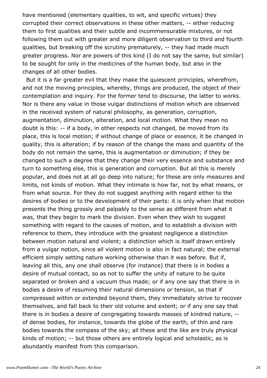have mentioned (elementary qualities, to wit, and specific virtues) they corrupted their correct observations in these other matters, -- either reducing them to first qualities and their subtle and incommensurable mixtures, or not following them out with greater and more diligent observation to third and fourth qualities, but breaking off the scrutiny prematurely, -- they had made much greater progress. Nor are powers of this kind (I do not say the same, but similar) to be sought for only in the medicines of the human body, but also in the changes of all other bodies.

 But it is a far greater evil that they make the quiescent principles, wherefrom, and not the moving principles, whereby, things are produced, the object of their contemplation and inquiry. For the former tend to discourse, the latter to works. Nor is there any value in those vulgar distinctions of motion which are observed in the received system of natural philosophy, as generation, corruption, augmentation, diminution, alteration, and local motion. What they mean no doubt is this: -- if a body, in other respects not changed, be moved from its place, this is local motion; if without change of place or essence, it be changed in quality, this is alteration; if by reason of the change the mass and quantity of the body do not remain the same, this is augmentation or diminution; if they be changed to such a degree that they change their very essence and substance and turn to something else, this is generation and corruption. But all this is merely popular, and does not at all go deep into nature; for these are only measures and limits, not kinds of motion. What they intimate is how far, not by what means, or from what source. For they do not suggest anything with regard either to the desires of bodies or to the development of their parts: it is only when that motion presents the thing grossly and palpably to the sense as different from what it was, that they begin to mark the division. Even when they wish to suggest something with regard to the causes of motion, and to establish a division with reference to them, they introduce with the greatest negligence a distinction between motion natural and violent; a distinction which is itself drawn entirely from a vulgar notion, since all violent motion is also in fact natural; the external efficient simply setting nature working otherwise than it was before. But if, leaving all this, any one shall observe (for instance) that there is in bodies a desire of mutual contact, so as not to suffer the unity of nature to be quite separated or broken and a vacuum thus made; or if any one say that there is in bodies a desire of resuming their natural dimensions or tension, so that if compressed within or extended beyond them, they immediately strive to recover themselves, and fall back to their old volume and extent; or if any one say that there is in bodies a desire of congregating towards masses of kindred nature, - of dense bodies, for instance, towards the globe of the earth, of thin and rare bodies towards the compass of the sky; all these and the like are truly physical kinds of motion; -- but those others are entirely logical and scholastic, as is abundantly manifest from this comparison.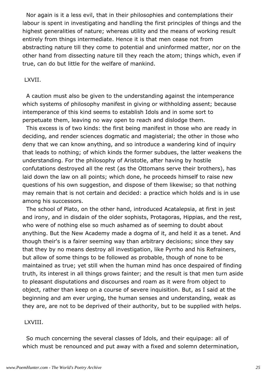Nor again is it a less evil, that in their philosophies and contemplations their labour is spent in investigating and handling the first principles of things and the highest generalities of nature; whereas utility and the means of working result entirely from things intermediate. Hence it is that men cease not from abstracting nature till they come to potential and uninformed matter, nor on the other hand from dissecting nature till they reach the atom; things which, even if true, can do but little for the welfare of mankind.

#### LXVII.

 A caution must also be given to the understanding against the intemperance which systems of philosophy manifest in giving or withholding assent; because intemperance of this kind seems to establish Idols and in some sort to perpetuate them, leaving no way open to reach and dislodge them.

 This excess is of two kinds: the first being manifest in those who are ready in deciding, and render sciences dogmatic and magisterial; the other in those who deny that we can know anything, and so introduce a wandering kind of inquiry that leads to nothing; of which kinds the former subdues, the latter weakens the understanding. For the philosophy of Aristotle, after having by hostile confutations destroyed all the rest (as the Ottomans serve their brothers), has laid down the law on all points; which done, he proceeds himself to raise new questions of his own suggestion, and dispose of them likewise; so that nothing may remain that is not certain and decided: a practice which holds and is in use among his successors.

 The school of Plato, on the other hand, introduced Acatalepsia, at first in jest and irony, and in disdain of the older sophists, Protagoras, Hippias, and the rest, who were of nothing else so much ashamed as of seeming to doubt about anything. But the New Academy made a dogma of it, and held it as a tenet. And though their's is a fairer seeming way than arbitrary decisions; since they say that they by no means destroy all investigation, like Pyrrho and his Refrainers, but allow of some things to be followed as probable, though of none to be maintained as true; yet still when the human mind has once despaired of finding truth, its interest in all things grows fainter; and the result is that men turn aside to pleasant disputations and discourses and roam as it were from object to object, rather than keep on a course of severe inquisition. But, as I said at the beginning and am ever urging, the human senses and understanding, weak as they are, are not to be deprived of their authority, but to be supplied with helps.

#### LXVIII.

 So much concerning the several classes of Idols, and their equipage: all of which must be renounced and put away with a fixed and solemn determination,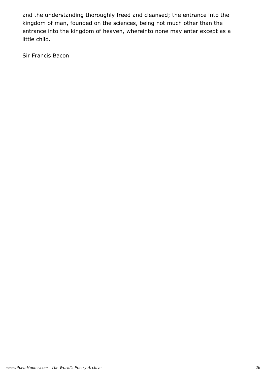and the understanding thoroughly freed and cleansed; the entrance into the kingdom of man, founded on the sciences, being not much other than the entrance into the kingdom of heaven, whereinto none may enter except as a little child.